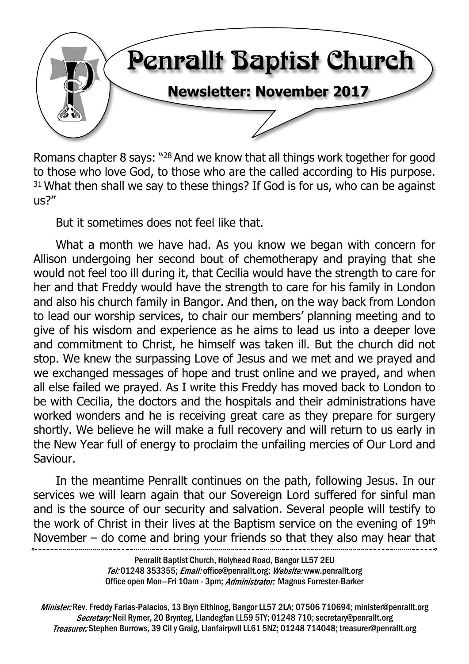

Romans chapter 8 says: "<sup>28</sup> And we know that all things work together for good to those who love God, to those who are the called according to His purpose.  $31$  What then shall we say to these things? If God is for us, who can be against us?"

But it sometimes does not feel like that.

What a month we have had. As you know we began with concern for Allison undergoing her second bout of chemotherapy and praying that she would not feel too ill during it, that Cecilia would have the strength to care for her and that Freddy would have the strength to care for his family in London and also his church family in Bangor. And then, on the way back from London to lead our worship services, to chair our members' planning meeting and to give of his wisdom and experience as he aims to lead us into a deeper love and commitment to Christ, he himself was taken ill. But the church did not stop. We knew the surpassing Love of Jesus and we met and we prayed and we exchanged messages of hope and trust online and we prayed, and when all else failed we prayed. As I write this Freddy has moved back to London to be with Cecilia, the doctors and the hospitals and their administrations have worked wonders and he is receiving great care as they prepare for surgery shortly. We believe he will make a full recovery and will return to us early in the New Year full of energy to proclaim the unfailing mercies of Our Lord and Saviour.

In the meantime Penrallt continues on the path, following Jesus. In our services we will learn again that our Sovereign Lord suffered for sinful man and is the source of our security and salvation. Several people will testify to the work of Christ in their lives at the Baptism service on the evening of 19th November – do come and bring your friends so that they also may hear that

> Penrallt Baptist Church, Holyhead Road, Bangor LL57 2EU Tel:01248 353355; Email: office@penrallt.org; Website: www.penrallt.org Office open Mon-Fri 10am - 3pm; Administrator: Magnus Forrester-Barker

Minister: Rev. Freddy Farias-Palacios, 13 Bryn Eithinog, Bangor LL57 2LA; 07506 710694; minister@penrallt.org Secretary: Neil Rymer, 20 Brynteg, Llandegfan LL59 5TY; 01248 710; secretary@penrallt.org Treasurer: Stephen Burrows, 39 Cil y Graig, Llanfairpwll LL61 5NZ; 01248 714048; treasurer@penrallt.org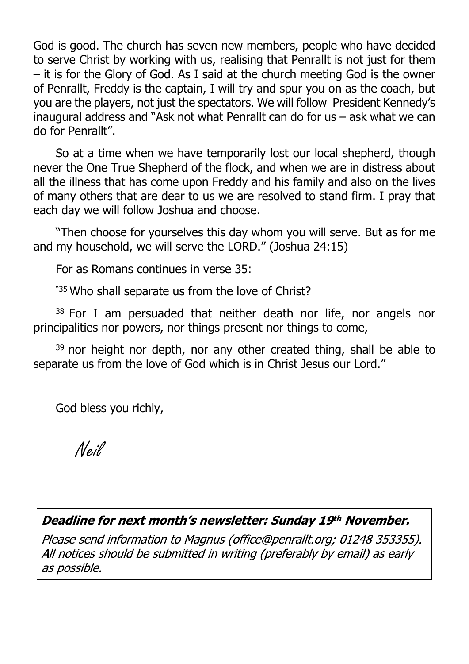God is good. The church has seven new members, people who have decided to serve Christ by working with us, realising that Penrallt is not just for them – it is for the Glory of God. As I said at the church meeting God is the owner of Penrallt, Freddy is the captain, I will try and spur you on as the coach, but you are the players, not just the spectators. We will follow President Kennedy's inaugural address and "Ask not what Penrallt can do for us – ask what we can do for Penrallt".

So at a time when we have temporarily lost our local shepherd, though never the One True Shepherd of the flock, and when we are in distress about all the illness that has come upon Freddy and his family and also on the lives of many others that are dear to us we are resolved to stand firm. I pray that each day we will follow Joshua and choose.

"Then choose for yourselves this day whom you will serve. But as for me and my household, we will serve the LORD." (Joshua 24:15)

For as Romans continues in verse 35:

"<sup>35</sup> Who shall separate us from the love of Christ?"

<sup>38</sup> For I am persuaded that neither death nor life, nor angels nor principalities nor powers, nor things present nor things to come,

 $39$  nor height nor depth, nor any other created thing, shall be able to separate us from the love of God which is in Christ Jesus our Lord."

God bless you richly,

Neil

#### Deadline for next month's newsletter: Sunday 19th November.

Please send information to Magnus (office@penrallt.org; 01248 353355). All notices should be submitted in writing (preferably by email) as early as possible.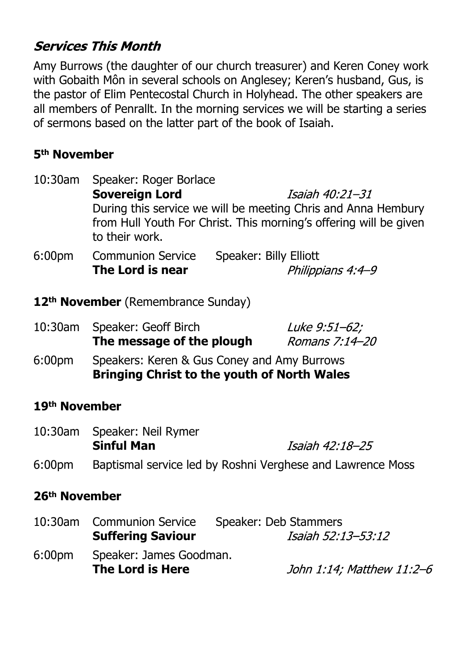# **Services This Month**

Amy Burrows (the daughter of our church treasurer) and Keren Coney work with Gobaith Môn in several schools on Anglesey; Keren's husband, Gus, is the pastor of Elim Pentecostal Church in Holyhead. The other speakers are all members of Penrallt. In the morning services we will be starting a series of sermons based on the latter part of the book of Isaiah.

## **5th November**

| $10:30$ am         | Speaker: Roger Borlace                                        |                                                                   |  |
|--------------------|---------------------------------------------------------------|-------------------------------------------------------------------|--|
|                    | <b>Sovereign Lord</b>                                         | Isaiah 40:21–31                                                   |  |
|                    | During this service we will be meeting Chris and Anna Hembury |                                                                   |  |
|                    | to their work.                                                | from Hull Youth For Christ. This morning's offering will be given |  |
| 6:00 <sub>pm</sub> | <b>Communion Service</b>                                      | Speaker: Billy Elliott                                            |  |
|                    | The Lord is near                                              | Philippians 4:4-9                                                 |  |

**12th November** (Remembrance Sunday)

| 10:30am | Speaker: Geoff Birch<br>The message of the plough                                                 | Luke 9:51-62;<br>Romans 7:14-20 |
|---------|---------------------------------------------------------------------------------------------------|---------------------------------|
| 6:00pm  | Speakers: Keren & Gus Coney and Amy Burrows<br><b>Bringing Christ to the youth of North Wales</b> |                                 |

#### **19th November**

| 10:30am Speaker: Neil Rymer |                 |  |
|-----------------------------|-----------------|--|
| <b>Sinful Man</b>           | Isaiah 42:18–25 |  |
|                             |                 |  |

6:00pm Baptismal service led by Roshni Verghese and Lawrence Moss

#### **26th November**

|        | 10:30am Communion Service<br><b>Suffering Saviour</b> | Speaker: Deb Stammers<br>Isaiah 52:13–53:12 |
|--------|-------------------------------------------------------|---------------------------------------------|
| 6:00pm | Speaker: James Goodman.<br>The Lord is Here           | John 1:14; Matthew 11:2–6                   |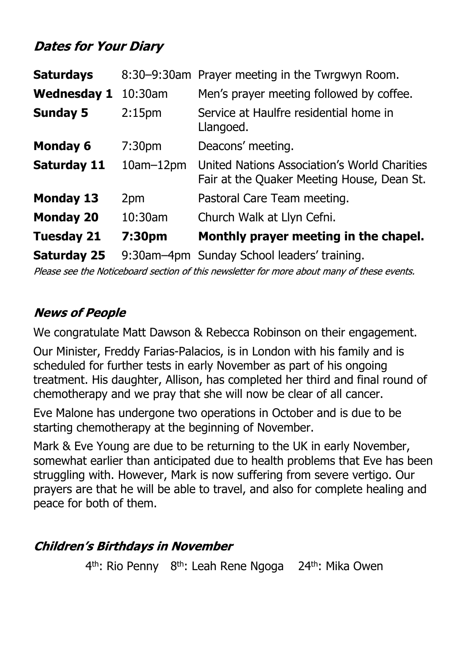# **Dates for Your Diary**

| <b>Saturdays</b>   |                    | 8:30-9:30am Prayer meeting in the Twrgwyn Room.                                            |
|--------------------|--------------------|--------------------------------------------------------------------------------------------|
| <b>Wednesday 1</b> | 10:30am            | Men's prayer meeting followed by coffee.                                                   |
| <b>Sunday 5</b>    | 2:15 <sub>pm</sub> | Service at Haulfre residential home in<br>Llangoed.                                        |
| <b>Monday 6</b>    | 7:30 <sub>pm</sub> | Deacons' meeting.                                                                          |
| <b>Saturday 11</b> | $10am-12pm$        | United Nations Association's World Charities<br>Fair at the Quaker Meeting House, Dean St. |
| <b>Monday 13</b>   | 2pm                | Pastoral Care Team meeting.                                                                |
| <b>Monday 20</b>   | 10:30am            | Church Walk at Llyn Cefni.                                                                 |
| <b>Tuesday 21</b>  | 7:30pm             | Monthly prayer meeting in the chapel.                                                      |
| <b>Saturday 25</b> |                    | 9:30am-4pm Sunday School leaders' training.                                                |

Please see the Noticeboard section of this newsletter for more about many of these events.

### **News of People**

We congratulate Matt Dawson & Rebecca Robinson on their engagement.

Our Minister, Freddy Farias-Palacios, is in London with his family and is scheduled for further tests in early November as part of his ongoing treatment. His daughter, Allison, has completed her third and final round of chemotherapy and we pray that she will now be clear of all cancer.

Eve Malone has undergone two operations in October and is due to be starting chemotherapy at the beginning of November.

Mark & Eve Young are due to be returning to the UK in early November, somewhat earlier than anticipated due to health problems that Eve has been struggling with. However, Mark is now suffering from severe vertigo. Our prayers are that he will be able to travel, and also for complete healing and peace for both of them.

# **Children's Birthdays in November**

4<sup>th</sup>: Rio Penny 8<sup>th</sup>: Leah Rene Ngoga 24<sup>th</sup>: Mika Owen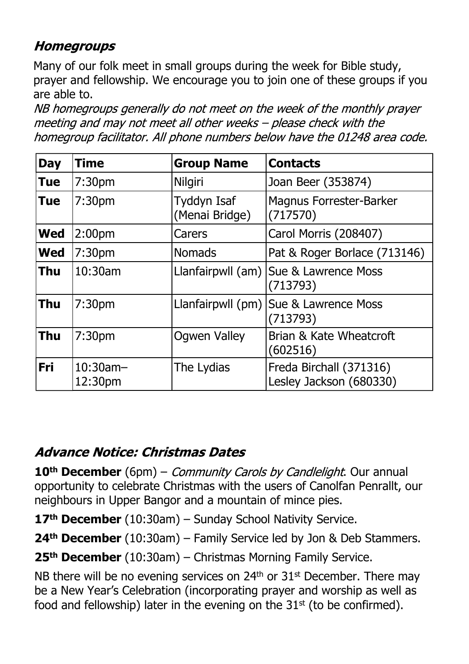# **Homegroups**

Many of our folk meet in small groups during the week for Bible study, prayer and fellowship. We encourage you to join one of these groups if you are able to.

NB homegroups generally do not meet on the week of the monthly prayer meeting and may not meet all other weeks - please check with the homegroup facilitator. All phone numbers below have the 01248 area code.

| <b>Day</b> | <b>Time</b>            | <b>Group Name</b>             | <b>Contacts</b>                                     |
|------------|------------------------|-------------------------------|-----------------------------------------------------|
| <b>Tue</b> | 7:30 <sub>pm</sub>     | Nilgiri                       | Joan Beer (353874)                                  |
| <b>Tue</b> | 7:30 <sub>pm</sub>     | Tyddyn Isaf<br>(Menai Bridge) | <b>Magnus Forrester-Barker</b><br>(717570)          |
| <b>Wed</b> | 2:00 <sub>pm</sub>     | Carers                        | Carol Morris (208407)                               |
| <b>Wed</b> | 7:30 <sub>pm</sub>     | <b>Nomads</b>                 | Pat & Roger Borlace (713146)                        |
| <b>Thu</b> | 10:30am                |                               | Llanfairpwll (am)   Sue & Lawrence Moss<br>(713793) |
| <b>Thu</b> | 7:30 <sub>pm</sub>     | Llanfairpwll (pm)             | Sue & Lawrence Moss<br>(713793)                     |
| <b>Thu</b> | 7:30 <sub>pm</sub>     | <b>Ogwen Valley</b>           | Brian & Kate Wheatcroft<br>(602516)                 |
| <b>Fri</b> | $10:30$ am-<br>12:30pm | The Lydias                    | Freda Birchall (371316)<br>Lesley Jackson (680330)  |

# Advance Notice: Christmas Dates

**10<sup>th</sup> December** (6pm) – *Community Carols by Candlelight*. Our annual opportunity to celebrate Christmas with the users of Canolfan Penrallt, our neighbours in Upper Bangor and a mountain of mince pies.

**17th December** (10:30am) – Sunday School Nativity Service.

**24th December** (10:30am) – Family Service led by Jon & Deb Stammers.

**25th December** (10:30am) – Christmas Morning Family Service.

NB there will be no evening services on  $24<sup>th</sup>$  or  $31<sup>st</sup>$  December. There may be a New Year's Celebration (incorporating prayer and worship as well as food and fellowship) later in the evening on the  $31<sup>st</sup>$  (to be confirmed).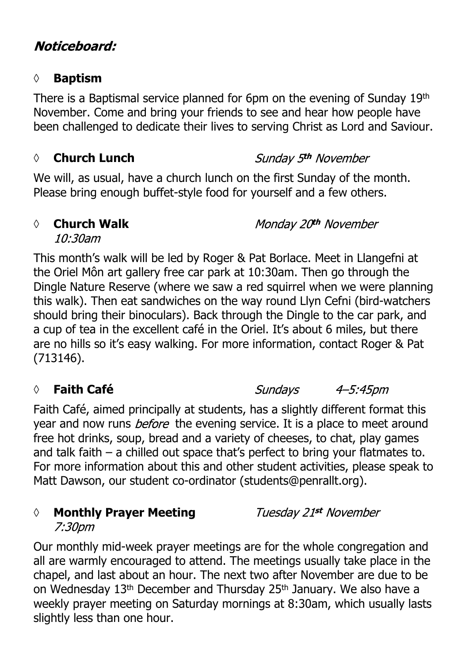# Noticeboard:

#### **◊ Baptism**

There is a Baptismal service planned for 6pm on the evening of Sunday 19th November. Come and bring your friends to see and hear how people have been challenged to dedicate their lives to serving Christ as Lord and Saviour.

#### *◊* **Church Lunch**

We will, as usual, have a church lunch on the first Sunday of the month. Please bring enough buffet-style food for yourself and a few others.

#### *◊* **Church Walk**

Monday 20th November

Sunday 5<sup>th</sup> November

 $10:30$ am

This month's walk will be led by Roger & Pat Borlace. Meet in Llangefni at the Oriel Môn art gallery free car park at 10:30am. Then go through the Dingle Nature Reserve (where we saw a red squirrel when we were planning this walk). Then eat sandwiches on the way round Llyn Cefni (bird-watchers should bring their binoculars). Back through the Dingle to the car park, and a cup of tea in the excellent café in the Oriel. It's about 6 miles, but there are no hills so it's easy walking. For more information, contact Roger & Pat (713146).

# *◊* **Faith Café**

Sundays 4–5:45pm

Faith Café, aimed principally at students, has a slightly different format this year and now runs *before* the evening service. It is a place to meet around free hot drinks, soup, bread and a variety of cheeses, to chat, play games and talk faith – a chilled out space that's perfect to bring your flatmates to. For more information about this and other student activities, please speak to Matt Dawson, our student co-ordinator (students@penrallt.org).

# *◊* **Monthly Prayer Meeting**

Tuesday 21st November

7:30pm

Our monthly mid-week prayer meetings are for the whole congregation and all are warmly encouraged to attend. The meetings usually take place in the chapel, and last about an hour. The next two after November are due to be on Wednesday 13<sup>th</sup> December and Thursday 25<sup>th</sup> January. We also have a weekly prayer meeting on Saturday mornings at 8:30am, which usually lasts slightly less than one hour.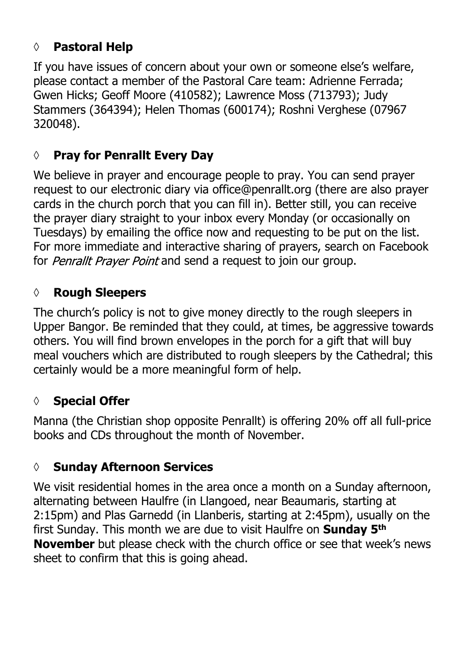# **◊ Pastoral Help**

If you have issues of concern about your own or someone else's welfare, please contact a member of the Pastoral Care team: Adrienne Ferrada; Gwen Hicks; Geoff Moore (410582); Lawrence Moss (713793); Judy Stammers (364394); Helen Thomas (600174); Roshni Verghese (07967 320048).

# **◊ Pray for Penrallt Every Day**

We believe in prayer and encourage people to pray. You can send prayer request to our electronic diary via office@penrallt.org (there are also prayer cards in the church porch that you can fill in). Better still, you can receive the prayer diary straight to your inbox every Monday (or occasionally on Tuesdays) by emailing the office now and requesting to be put on the list. For more immediate and interactive sharing of prayers, search on Facebook for Penrallt Prayer Point and send a request to join our group.

#### **◊ Rough Sleepers**

The church's policy is not to give money directly to the rough sleepers in Upper Bangor. Be reminded that they could, at times, be aggressive towards others. You will find brown envelopes in the porch for a gift that will buy meal vouchers which are distributed to rough sleepers by the Cathedral; this certainly would be a more meaningful form of help.

# **◊ Special Offer**

Manna (the Christian shop opposite Penrallt) is offering 20% off all full-price books and CDs throughout the month of November.

# **◊ Sunday Afternoon Services**

We visit residential homes in the area once a month on a Sunday afternoon, alternating between Haulfre (in Llangoed, near Beaumaris, starting at 2:15pm) and Plas Garnedd (in Llanberis, starting at 2:45pm), usually on the first Sunday. This month we are due to visit Haulfre on **Sunday 5th November** but please check with the church office or see that week's news sheet to confirm that this is going ahead.